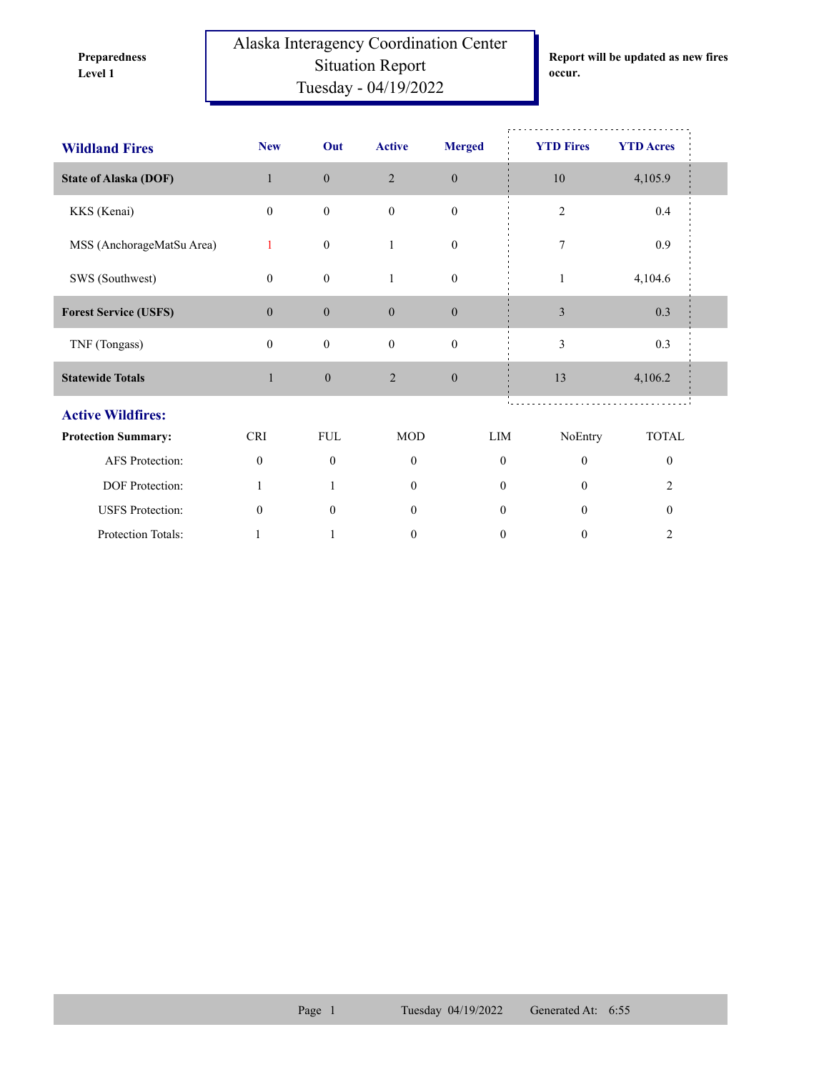**Preparedness** 

Alaska Interagency Coordination Center Situation Report **Level 1 occur.** Tuesday - 04/19/2022

**Report will be updated as new fires** 

| <b>Wildland Fires</b>        | <b>New</b>       | Out              | <b>Active</b>    | <b>Merged</b>    | <b>YTD Fires</b> | <b>YTD</b> Acres |  |
|------------------------------|------------------|------------------|------------------|------------------|------------------|------------------|--|
| <b>State of Alaska (DOF)</b> | $\mathbf{1}$     | $\boldsymbol{0}$ | $\overline{2}$   | $\boldsymbol{0}$ | 10               | 4,105.9          |  |
| KKS (Kenai)                  | $\mathbf{0}$     | $\boldsymbol{0}$ | $\mathbf{0}$     | $\boldsymbol{0}$ | $\overline{2}$   | 0.4              |  |
| MSS (AnchorageMatSu Area)    | 1                | $\boldsymbol{0}$ | 1                | $\boldsymbol{0}$ | 7                | 0.9              |  |
| SWS (Southwest)              | $\mathbf{0}$     | $\boldsymbol{0}$ | 1                | $\boldsymbol{0}$ | 1                | 4,104.6          |  |
| <b>Forest Service (USFS)</b> | $\boldsymbol{0}$ | $\mathbf{0}$     | $\boldsymbol{0}$ | $\boldsymbol{0}$ | $\mathfrak{Z}$   | 0.3              |  |
| TNF (Tongass)                | $\mathbf{0}$     | $\boldsymbol{0}$ | $\mathbf{0}$     | $\boldsymbol{0}$ | 3                | 0.3              |  |
| <b>Statewide Totals</b>      | $\mathbf{1}$     | $\boldsymbol{0}$ | $\overline{2}$   | $\boldsymbol{0}$ | 13               | 4,106.2          |  |
| <b>Active Wildfires:</b>     |                  |                  |                  |                  |                  |                  |  |
| <b>Protection Summary:</b>   | <b>CRI</b>       | <b>FUL</b>       | <b>MOD</b>       | LIM              | NoEntry          | <b>TOTAL</b>     |  |
| <b>AFS</b> Protection:       | $\mathbf{0}$     | $\mathbf{0}$     | $\mathbf{0}$     | $\mathbf{0}$     | $\mathbf{0}$     | $\theta$         |  |
| DOF Protection:              | $\mathbf{1}$     |                  | $\theta$         | $\theta$         | $\theta$         | $\overline{2}$   |  |
| <b>USFS</b> Protection:      | $\mathbf{0}$     | $\mathbf{0}$     | $\overline{0}$   | $\mathbf{0}$     | $\theta$         | $\theta$         |  |
| <b>Protection Totals:</b>    |                  | 1                | $\mathbf{0}$     | $\boldsymbol{0}$ | $\boldsymbol{0}$ | $\overline{c}$   |  |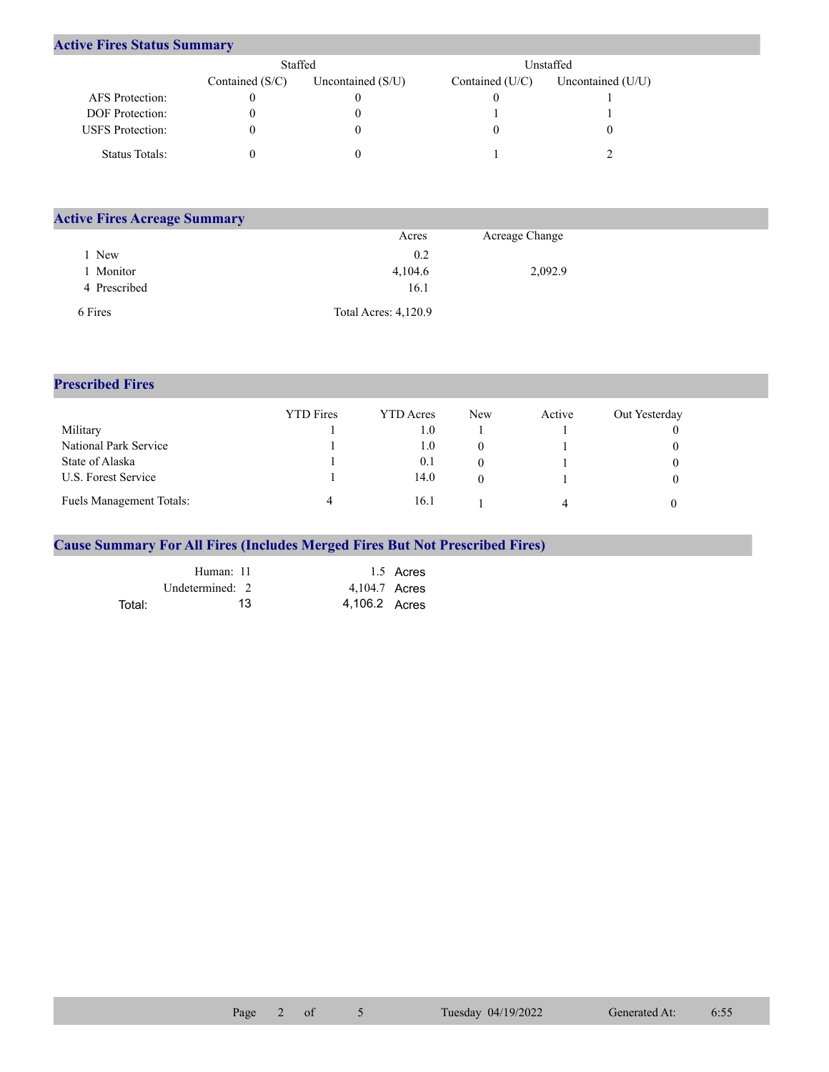## **Active Fires Status Summary**

|                         | Staffed           |                     | Unstaffed         |                     |  |  |
|-------------------------|-------------------|---------------------|-------------------|---------------------|--|--|
|                         | Contained $(S/C)$ | Uncontained $(S/U)$ | Contained $(U/C)$ | Uncontained $(U/U)$ |  |  |
| AFS Protection:         |                   |                     |                   |                     |  |  |
| <b>DOF</b> Protection:  |                   |                     |                   |                     |  |  |
| <b>USFS</b> Protection: |                   |                     |                   |                     |  |  |
| Status Totals:          |                   |                     |                   |                     |  |  |

| <b>Active Fires Acreage Summary</b> |                             |                |  |  |  |  |  |
|-------------------------------------|-----------------------------|----------------|--|--|--|--|--|
|                                     | Acres                       | Acreage Change |  |  |  |  |  |
| New                                 | 0.2                         |                |  |  |  |  |  |
| Monitor                             | 4,104.6                     | 2,092.9        |  |  |  |  |  |
| 4 Prescribed                        | 16.1                        |                |  |  |  |  |  |
| 6 Fires                             | <b>Total Acres: 4,120.9</b> |                |  |  |  |  |  |

## **Prescribed Fires**

|                                 | <b>YTD</b> Fires | <b>YTD</b> Acres | <b>New</b> | Active | Out Yesterday |
|---------------------------------|------------------|------------------|------------|--------|---------------|
| Military                        |                  | 0.1              |            |        |               |
| National Park Service           |                  | 0.1              |            |        |               |
| State of Alaska                 |                  | 0.1              |            |        |               |
| U.S. Forest Service             |                  | 14.0             |            |        |               |
| <b>Fuels Management Totals:</b> |                  | 16.1             |            | Δ      |               |

## **Cause Summary For All Fires (Includes Merged Fires But Not Prescribed Fires)**

|        | Human: 11         |               | 1.5 Acres |
|--------|-------------------|---------------|-----------|
|        | Undetermined: $2$ | 4,104.7 Acres |           |
| Total: | 13                | 4,106.2 Acres |           |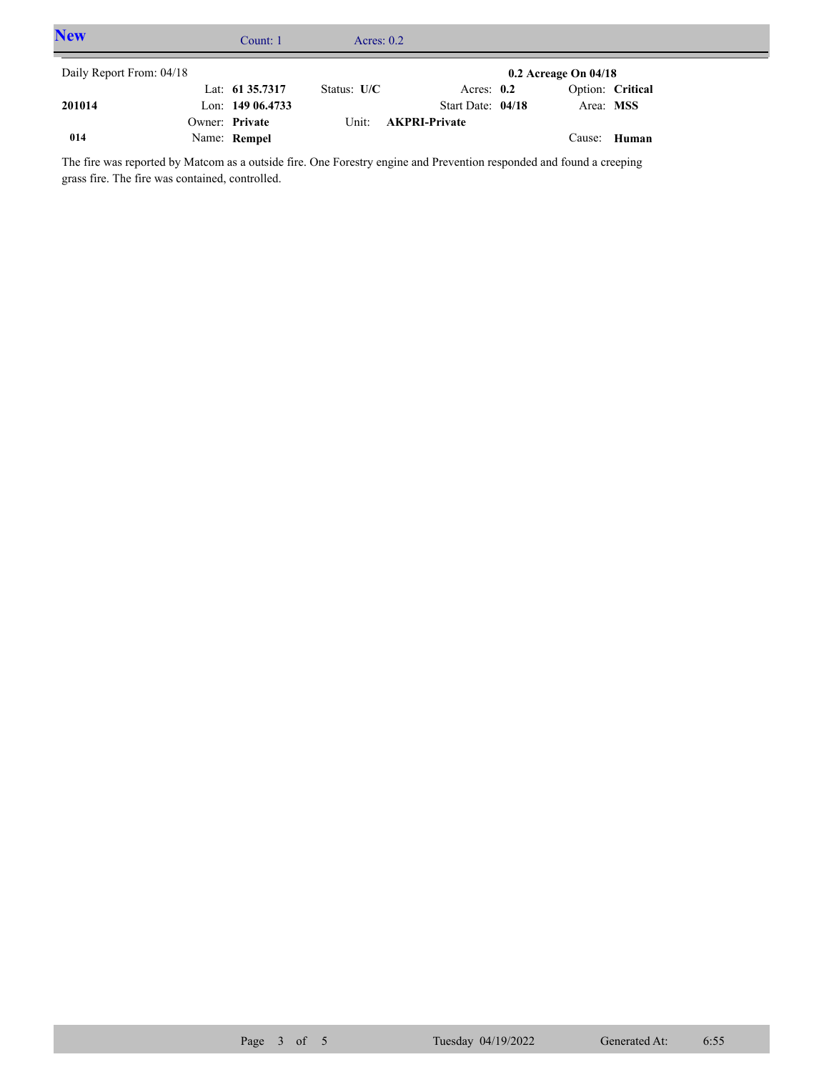| <b>New</b>               | Count: 1          | Acres: $0.2$  |                      |                          |                  |  |
|--------------------------|-------------------|---------------|----------------------|--------------------------|------------------|--|
| Daily Report From: 04/18 |                   |               |                      | $0.2$ Acreage On $04/18$ |                  |  |
|                          | Lat: 61 35.7317   | Status: $U/C$ | Acres: $0.2$         |                          | Option: Critical |  |
| 201014                   | Lon: $14906.4733$ |               | Start Date: 04/18    | Area: MSS                |                  |  |
|                          | Owner: Private    | Unit:         | <b>AKPRI-Private</b> |                          |                  |  |
| 014                      | Name: Rempel      |               |                      |                          | Cause: Human     |  |

The fire was reported by Matcom as a outside fire. One Forestry engine and Prevention responded and found a creeping grass fire. The fire was contained, controlled.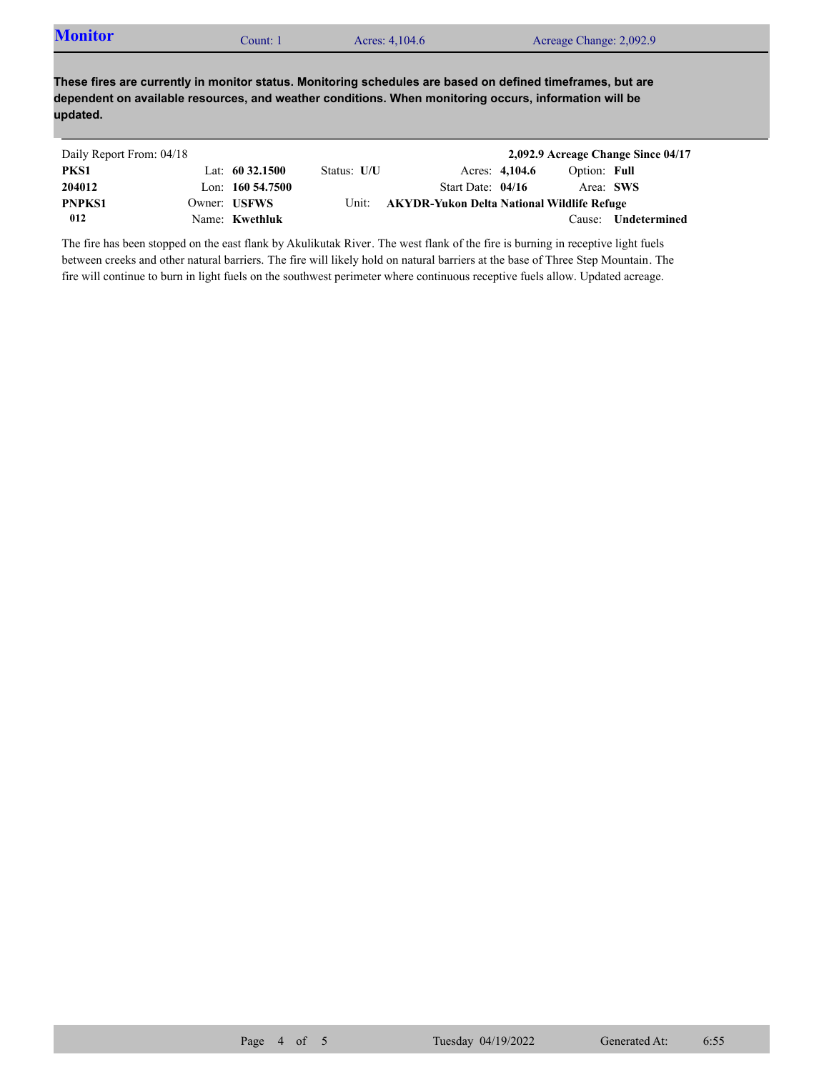| <b>Monitor</b> | Count: 1 | Acres: 4,104.6 | Acreage Change: 2,092.9 |  |
|----------------|----------|----------------|-------------------------|--|
|----------------|----------|----------------|-------------------------|--|

**These fires are currently in monitor status. Monitoring schedules are based on defined timeframes, but are dependent on available resources, and weather conditions. When monitoring occurs, information will be updated.**

| Daily Report From: 04/18 |                     |             |                                            |                |              | 2,092.9 Acreage Change Since 04/17 |
|--------------------------|---------------------|-------------|--------------------------------------------|----------------|--------------|------------------------------------|
| PKS1                     | Lat: $60\,32.1500$  | Status: U/U |                                            | Acres: 4,104.6 | Option: Full |                                    |
| 204012                   | Lon: $160\,54.7500$ |             | Start Date: $04/16$                        |                | Area: SWS    |                                    |
| <b>PNPKS1</b>            | Owner: USFWS        | Unit:       | AKYDR-Yukon Delta National Wildlife Refuge |                |              |                                    |
| 012                      | Name: Kwethluk      |             |                                            |                | Cause:       | Undetermined                       |

The fire has been stopped on the east flank by Akulikutak River. The west flank of the fire is burning in receptive light fuels between creeks and other natural barriers. The fire will likely hold on natural barriers at the base of Three Step Mountain. The fire will continue to burn in light fuels on the southwest perimeter where continuous receptive fuels allow. Updated acreage.